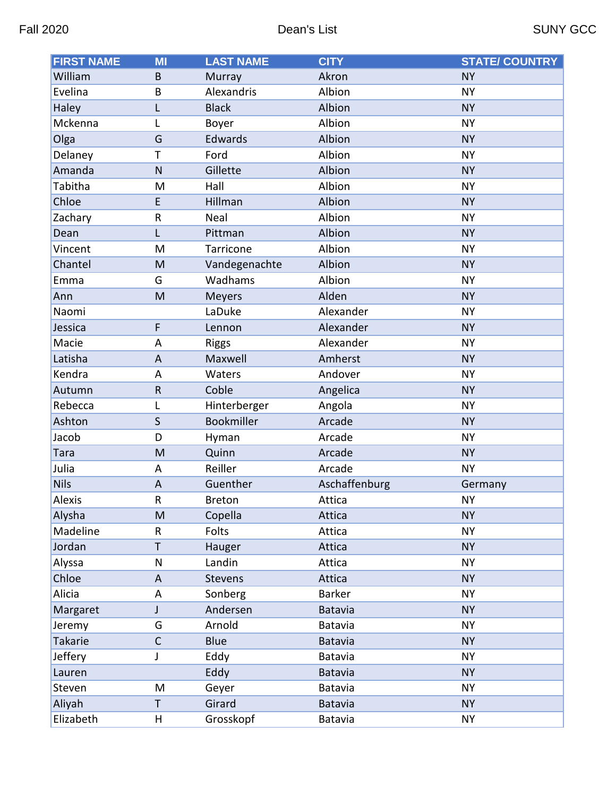| <b>FIRST NAME</b> | MI           | <b>LAST NAME</b> | <b>CITY</b>    | <b>STATE/ COUNTRY</b> |
|-------------------|--------------|------------------|----------------|-----------------------|
| William           | B            | Murray           | Akron          | <b>NY</b>             |
| Evelina           | B            | Alexandris       | Albion         | <b>NY</b>             |
| Haley             | L            | <b>Black</b>     | Albion         | <b>NY</b>             |
| Mckenna           | L            | Boyer            | Albion         | <b>NY</b>             |
| Olga              | G            | Edwards          | Albion         | <b>NY</b>             |
| Delaney           | T            | Ford             | Albion         | <b>NY</b>             |
| Amanda            | N            | Gillette         | Albion         | <b>NY</b>             |
| Tabitha           | M            | Hall             | Albion         | <b>NY</b>             |
| Chloe             | E            | Hillman          | Albion         | <b>NY</b>             |
| Zachary           | ${\sf R}$    | Neal             | Albion         | <b>NY</b>             |
| Dean              | L            | Pittman          | Albion         | <b>NY</b>             |
| Vincent           | M            | Tarricone        | Albion         | <b>NY</b>             |
| Chantel           | M            | Vandegenachte    | Albion         | <b>NY</b>             |
| Emma              | G            | Wadhams          | Albion         | <b>NY</b>             |
| Ann               | M            | <b>Meyers</b>    | Alden          | <b>NY</b>             |
| Naomi             |              | LaDuke           | Alexander      | <b>NY</b>             |
| Jessica           | F            | Lennon           | Alexander      | <b>NY</b>             |
| Macie             | A            | <b>Riggs</b>     | Alexander      | <b>NY</b>             |
| Latisha           | A            | Maxwell          | Amherst        | <b>NY</b>             |
| Kendra            | A            | Waters           | Andover        | <b>NY</b>             |
| Autumn            | ${\sf R}$    | Coble            | Angelica       | <b>NY</b>             |
| Rebecca           | L            | Hinterberger     | Angola         | <b>NY</b>             |
| Ashton            | $\mathsf S$  | Bookmiller       | Arcade         | <b>NY</b>             |
| Jacob             | D            | Hyman            | Arcade         | <b>NY</b>             |
| <b>Tara</b>       | M            | Quinn            | Arcade         | <b>NY</b>             |
| Julia             | A            | Reiller          | Arcade         | <b>NY</b>             |
| <b>Nils</b>       | A            | Guenther         | Aschaffenburg  | Germany               |
| <b>Alexis</b>     | R            | <b>Breton</b>    | Attica         | <b>NY</b>             |
| Alysha            | M            | Copella          | Attica         | <b>NY</b>             |
| Madeline          | R            | Folts            | Attica         | <b>NY</b>             |
| Jordan            | Τ            | Hauger           | Attica         | <b>NY</b>             |
| Alyssa            | N            | Landin           | Attica         | <b>NY</b>             |
| Chloe             | A            | Stevens          | Attica         | <b>NY</b>             |
| Alicia            | Α            | Sonberg          | <b>Barker</b>  | <b>NY</b>             |
| Margaret          | J            | Andersen         | Batavia        | <b>NY</b>             |
| Jeremy            | G            | Arnold           | Batavia        | <b>NY</b>             |
| Takarie           | $\mathsf{C}$ | Blue             | Batavia        | <b>NY</b>             |
| Jeffery           | J            | Eddy             | Batavia        | <b>NY</b>             |
| Lauren            |              | Eddy             | Batavia        | <b>NY</b>             |
| Steven            | M            | Geyer            | Batavia        | <b>NY</b>             |
| Aliyah            | Τ            | Girard           | <b>Batavia</b> | <b>NY</b>             |
| Elizabeth         | H            | Grosskopf        | Batavia        | <b>NY</b>             |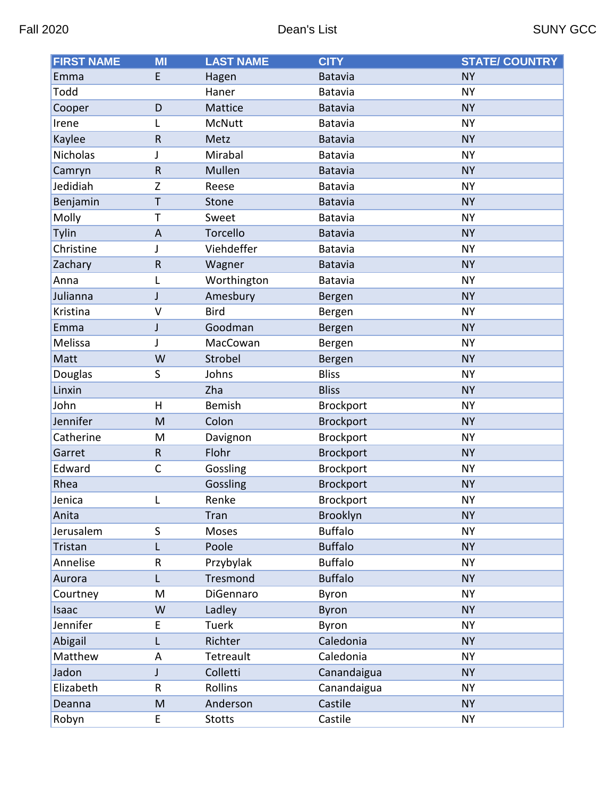| <b>FIRST NAME</b> | $\overline{M}$ | <b>LAST NAME</b> | <b>CITY</b>      | <b>STATE/ COUNTRY</b> |
|-------------------|----------------|------------------|------------------|-----------------------|
| Emma              | E              | Hagen            | <b>Batavia</b>   | <b>NY</b>             |
| Todd              |                | Haner            | Batavia          | <b>NY</b>             |
| Cooper            | D              | Mattice          | <b>Batavia</b>   | <b>NY</b>             |
| Irene             | L              | McNutt           | Batavia          | <b>NY</b>             |
| Kaylee            | $\mathsf R$    | Metz             | <b>Batavia</b>   | <b>NY</b>             |
| Nicholas          | J              | Mirabal          | Batavia          | <b>NY</b>             |
| Camryn            | ${\sf R}$      | Mullen           | <b>Batavia</b>   | <b>NY</b>             |
| Jedidiah          | Z              | Reese            | Batavia          | <b>NY</b>             |
| Benjamin          | T              | Stone            | <b>Batavia</b>   | <b>NY</b>             |
| Molly             | T              | Sweet            | Batavia          | <b>NY</b>             |
| Tylin             | A              | Torcello         | <b>Batavia</b>   | <b>NY</b>             |
| Christine         | J              | Viehdeffer       | Batavia          | <b>NY</b>             |
| Zachary           | ${\sf R}$      | Wagner           | <b>Batavia</b>   | <b>NY</b>             |
| Anna              | L              | Worthington      | Batavia          | <b>NY</b>             |
| Julianna          | J              | Amesbury         | Bergen           | <b>NY</b>             |
| Kristina          | $\mathsf{V}$   | <b>Bird</b>      | Bergen           | <b>NY</b>             |
| Emma              | J              | Goodman          | Bergen           | <b>NY</b>             |
| Melissa           | J              | MacCowan         | Bergen           | <b>NY</b>             |
| Matt              | W              | Strobel          | Bergen           | <b>NY</b>             |
| Douglas           | S              | Johns            | <b>Bliss</b>     | <b>NY</b>             |
| Linxin            |                | Zha              | <b>Bliss</b>     | <b>NY</b>             |
| John              | H              | <b>Bemish</b>    | <b>Brockport</b> | <b>NY</b>             |
| Jennifer          | M              | Colon            | <b>Brockport</b> | <b>NY</b>             |
| Catherine         | M              | Davignon         | <b>Brockport</b> | <b>NY</b>             |
| Garret            | ${\sf R}$      | Flohr            | <b>Brockport</b> | <b>NY</b>             |
| Edward            | C              | Gossling         | <b>Brockport</b> | <b>NY</b>             |
| Rhea              |                | Gossling         | <b>Brockport</b> | <b>NY</b>             |
| Jenica            |                | Renke            | <b>Brockport</b> | <b>NY</b>             |
| Anita             |                | Tran             | Brooklyn         | <b>NY</b>             |
| Jerusalem         | $\mathsf S$    | Moses            | <b>Buffalo</b>   | <b>NY</b>             |
| Tristan           | L              | Poole            | <b>Buffalo</b>   | <b>NY</b>             |
| Annelise          | R              | Przybylak        | <b>Buffalo</b>   | <b>NY</b>             |
| Aurora            | L              | Tresmond         | <b>Buffalo</b>   | <b>NY</b>             |
| Courtney          | M              | DiGennaro        | Byron            | <b>NY</b>             |
| Isaac             | W              | Ladley           | <b>Byron</b>     | <b>NY</b>             |
| Jennifer          | E              | Tuerk            | Byron            | <b>NY</b>             |
| Abigail           | L              | Richter          | Caledonia        | <b>NY</b>             |
| Matthew           | A              | Tetreault        | Caledonia        | <b>NY</b>             |
| Jadon             | J              | Colletti         | Canandaigua      | <b>NY</b>             |
| Elizabeth         | R              | Rollins          | Canandaigua      | <b>NY</b>             |
| Deanna            | M              | Anderson         | Castile          | <b>NY</b>             |
| Robyn             | E              | <b>Stotts</b>    | Castile          | <b>NY</b>             |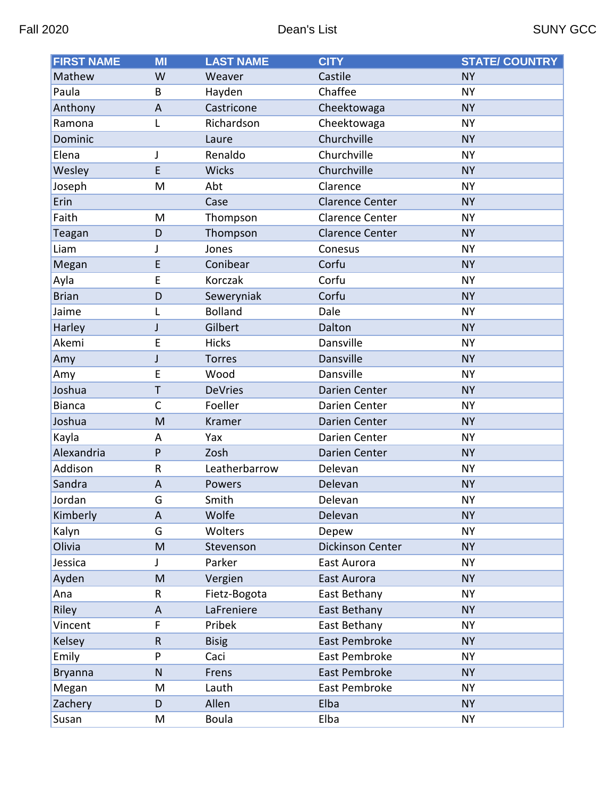| <b>FIRST NAME</b> | $\overline{\mathsf{M}}$ | <b>LAST NAME</b> | <b>CITY</b>            | <b>STATE/ COUNTRY</b> |
|-------------------|-------------------------|------------------|------------------------|-----------------------|
| Mathew            | W                       | Weaver           | Castile                | <b>NY</b>             |
| Paula             | B                       | Hayden           | Chaffee                | <b>NY</b>             |
| Anthony           | $\overline{A}$          | Castricone       | Cheektowaga            | <b>NY</b>             |
| Ramona            | L                       | Richardson       | Cheektowaga            | <b>NY</b>             |
| Dominic           |                         | Laure            | Churchville            | <b>NY</b>             |
| Elena             | J                       | Renaldo          | Churchville            | <b>NY</b>             |
| Wesley            | E                       | <b>Wicks</b>     | Churchville            | <b>NY</b>             |
| Joseph            | M                       | Abt              | Clarence               | <b>NY</b>             |
| Erin              |                         | Case             | <b>Clarence Center</b> | <b>NY</b>             |
| Faith             | M                       | Thompson         | <b>Clarence Center</b> | <b>NY</b>             |
| Teagan            | D                       | Thompson         | <b>Clarence Center</b> | <b>NY</b>             |
| Liam              | J                       | Jones            | Conesus                | <b>NY</b>             |
| Megan             | E                       | Conibear         | Corfu                  | <b>NY</b>             |
| Ayla              | E                       | Korczak          | Corfu                  | <b>NY</b>             |
| <b>Brian</b>      | D                       | Seweryniak       | Corfu                  | <b>NY</b>             |
| Jaime             | L                       | <b>Bolland</b>   | Dale                   | <b>NY</b>             |
| Harley            | J                       | Gilbert          | Dalton                 | <b>NY</b>             |
| Akemi             | E                       | <b>Hicks</b>     | Dansville              | <b>NY</b>             |
| Amy               | J                       | <b>Torres</b>    | Dansville              | <b>NY</b>             |
| Amy               | E                       | Wood             | Dansville              | <b>NY</b>             |
| Joshua            | T                       | <b>DeVries</b>   | Darien Center          | <b>NY</b>             |
| <b>Bianca</b>     | $\mathsf{C}$            | Foeller          | Darien Center          | <b>NY</b>             |
| Joshua            | M                       | Kramer           | Darien Center          | <b>NY</b>             |
| Kayla             | A                       | Yax              | Darien Center          | <b>NY</b>             |
| Alexandria        | P                       | Zosh             | <b>Darien Center</b>   | <b>NY</b>             |
| Addison           | $\mathsf{R}$            | Leatherbarrow    | Delevan                | <b>NY</b>             |
| Sandra            | $\overline{A}$          | Powers           | Delevan                | <b>NY</b>             |
| Jordan            | G                       | Smith            | Delevan                | <b>NY</b>             |
| Kimberly          | A                       | Wolfe            | Delevan                | <b>NY</b>             |
| Kalyn             | G                       | Wolters          | Depew                  | <b>NY</b>             |
| Olivia            | M                       | Stevenson        | Dickinson Center       | <b>NY</b>             |
| Jessica           | J                       | Parker           | East Aurora            | <b>NY</b>             |
| Ayden             | M                       | Vergien          | East Aurora            | <b>NY</b>             |
| Ana               | R                       | Fietz-Bogota     | East Bethany           | <b>NY</b>             |
| Riley             | A                       | LaFreniere       | East Bethany           | <b>NY</b>             |
| Vincent           | F                       | Pribek           | East Bethany           | NΥ                    |
| Kelsey            | $\mathsf R$             | <b>Bisig</b>     | East Pembroke          | <b>NY</b>             |
| Emily             | P                       | Caci             | East Pembroke          | <b>NY</b>             |
| <b>Bryanna</b>    | N                       | Frens            | East Pembroke          | <b>NY</b>             |
| Megan             | M                       | Lauth            | East Pembroke          | <b>NY</b>             |
| Zachery           | D                       | Allen            | Elba                   | <b>NY</b>             |
| Susan             | Μ                       | Boula            | Elba                   | <b>NY</b>             |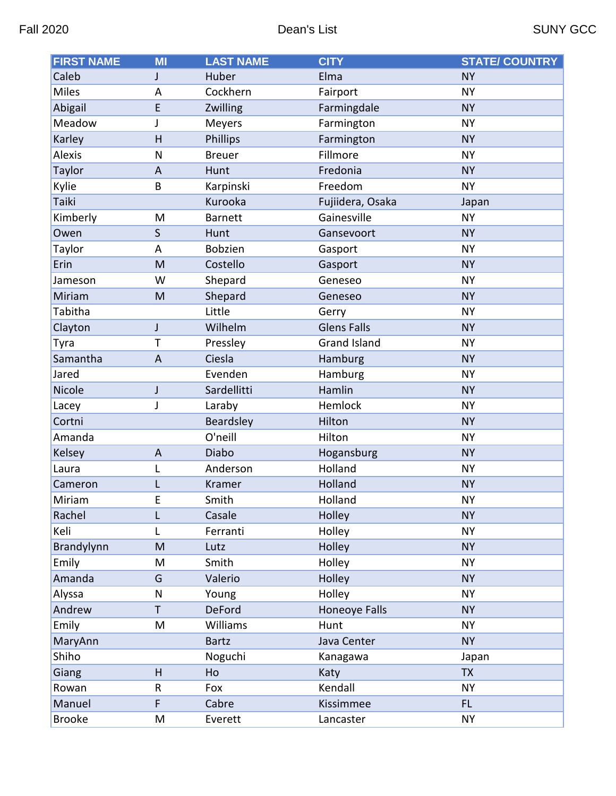| <b>FIRST NAME</b> | MI | <b>LAST NAME</b> | <b>CITY</b>          | <b>STATE/ COUNTRY</b> |
|-------------------|----|------------------|----------------------|-----------------------|
| Caleb             | J  | Huber            | Elma                 | <b>NY</b>             |
| <b>Miles</b>      | A  | Cockhern         | Fairport             | <b>NY</b>             |
| Abigail           | E  | Zwilling         | Farmingdale          | <b>NY</b>             |
| Meadow            | J  | Meyers           | Farmington           | <b>NY</b>             |
| Karley            | H  | Phillips         | Farmington           | <b>NY</b>             |
| Alexis            | N  | <b>Breuer</b>    | Fillmore             | <b>NY</b>             |
| Taylor            | A  | Hunt             | Fredonia             | <b>NY</b>             |
| Kylie             | B  | Karpinski        | Freedom              | <b>NY</b>             |
| Taiki             |    | Kurooka          | Fujiidera, Osaka     | Japan                 |
| Kimberly          | M  | <b>Barnett</b>   | Gainesville          | <b>NY</b>             |
| Owen              | S  | Hunt             | Gansevoort           | <b>NY</b>             |
| Taylor            | A  | <b>Bobzien</b>   | Gasport              | <b>NY</b>             |
| Erin              | M  | Costello         | Gasport              | <b>NY</b>             |
| Jameson           | W  | Shepard          | Geneseo              | <b>NY</b>             |
| Miriam            | M  | Shepard          | Geneseo              | <b>NY</b>             |
| Tabitha           |    | Little           | Gerry                | <b>NY</b>             |
| Clayton           | J  | Wilhelm          | <b>Glens Falls</b>   | <b>NY</b>             |
| Tyra              | T  | Pressley         | <b>Grand Island</b>  | <b>NY</b>             |
| Samantha          | A  | Ciesla           | Hamburg              | <b>NY</b>             |
| Jared             |    | Evenden          | Hamburg              | <b>NY</b>             |
| <b>Nicole</b>     | J  | Sardellitti      | Hamlin               | <b>NY</b>             |
| Lacey             | J  | Laraby           | Hemlock              | <b>NY</b>             |
| Cortni            |    | Beardsley        | Hilton               | <b>NY</b>             |
| Amanda            |    | O'neill          | Hilton               | <b>NY</b>             |
| Kelsey            | A  | Diabo            | Hogansburg           | <b>NY</b>             |
| Laura             | L  | Anderson         | Holland              | <b>NY</b>             |
| Cameron           |    | Kramer           | Holland              | <b>NY</b>             |
| Miriam            | E  | Smith            | Holland              | <b>NY</b>             |
| Rachel            | L  | Casale           | Holley               | <b>NY</b>             |
| Keli              | L  | Ferranti         | Holley               | <b>NY</b>             |
| Brandylynn        | M  | Lutz             | Holley               | <b>NY</b>             |
| Emily             | M  | Smith            | Holley               | <b>NY</b>             |
| Amanda            | G  | Valerio          | Holley               | <b>NY</b>             |
| Alyssa            | N  | Young            | Holley               | <b>NY</b>             |
| Andrew            | T. | <b>DeFord</b>    | <b>Honeoye Falls</b> | <b>NY</b>             |
| Emily             | M  | Williams         | Hunt                 | <b>NY</b>             |
| MaryAnn           |    | <b>Bartz</b>     | Java Center          | <b>NY</b>             |
| Shiho             |    | Noguchi          | Kanagawa             | Japan                 |
| Giang             | H  | Ho               | Katy                 | <b>TX</b>             |
| Rowan             | R  | Fox              | Kendall              | <b>NY</b>             |
| Manuel            | F. | Cabre            | Kissimmee            | FL.                   |
| <b>Brooke</b>     | Μ  | Everett          | Lancaster            | <b>NY</b>             |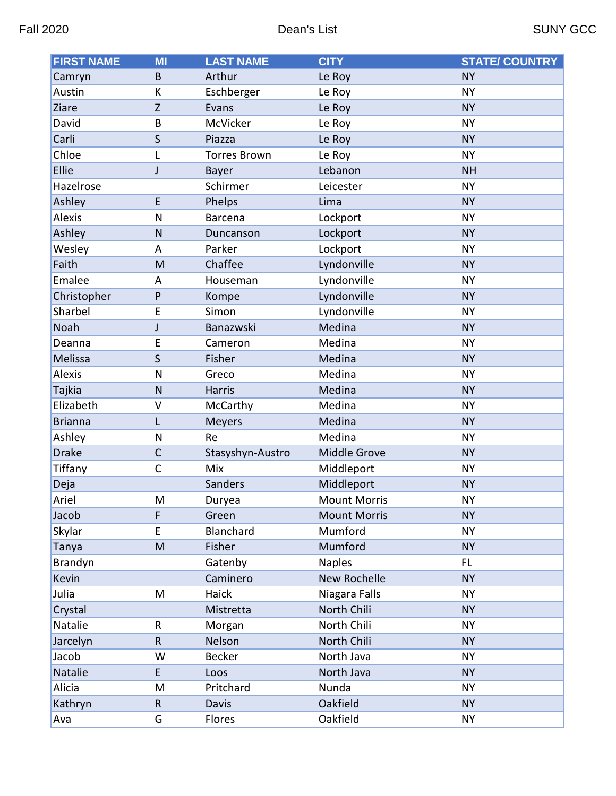| <b>FIRST NAME</b> | MI           | <b>LAST NAME</b>    | <b>CITY</b>         | <b>STATE/ COUNTRY</b> |
|-------------------|--------------|---------------------|---------------------|-----------------------|
| Camryn            | B            | Arthur              | Le Roy              | <b>NY</b>             |
| Austin            | K            | Eschberger          | Le Roy              | <b>NY</b>             |
| Ziare             | Z            | Evans               | Le Roy              | <b>NY</b>             |
| David             | B            | McVicker            | Le Roy              | <b>NY</b>             |
| Carli             | S            | Piazza              | Le Roy              | <b>NY</b>             |
| Chloe             | L            | <b>Torres Brown</b> | Le Roy              | <b>NY</b>             |
| Ellie             | $\mathsf{J}$ | Bayer               | Lebanon             | <b>NH</b>             |
| Hazelrose         |              | Schirmer            | Leicester           | <b>NY</b>             |
| Ashley            | E            | Phelps              | Lima                | <b>NY</b>             |
| <b>Alexis</b>     | N            | <b>Barcena</b>      | Lockport            | <b>NY</b>             |
| Ashley            | $\mathsf{N}$ | Duncanson           | Lockport            | <b>NY</b>             |
| Wesley            | A            | Parker              | Lockport            | <b>NY</b>             |
| Faith             | M            | Chaffee             | Lyndonville         | <b>NY</b>             |
| Emalee            | A            | Houseman            | Lyndonville         | <b>NY</b>             |
| Christopher       | P            | Kompe               | Lyndonville         | <b>NY</b>             |
| Sharbel           | E            | Simon               | Lyndonville         | <b>NY</b>             |
| Noah              | $\mathsf{J}$ | Banazwski           | Medina              | <b>NY</b>             |
| Deanna            | E            | Cameron             | Medina              | <b>NY</b>             |
| <b>Melissa</b>    | S            | Fisher              | Medina              | <b>NY</b>             |
| <b>Alexis</b>     | N            | Greco               | Medina              | <b>NY</b>             |
| Tajkia            | $\mathsf{N}$ | Harris              | Medina              | <b>NY</b>             |
| Elizabeth         | V            | McCarthy            | Medina              | <b>NY</b>             |
| <b>Brianna</b>    | L            | <b>Meyers</b>       | Medina              | <b>NY</b>             |
| Ashley            | N            | Re                  | Medina              | <b>NY</b>             |
| <b>Drake</b>      | $\mathsf{C}$ | Stasyshyn-Austro    | Middle Grove        | <b>NY</b>             |
| Tiffany           | $\mathsf{C}$ | Mix                 | Middleport          | <b>NY</b>             |
| Deja              |              | Sanders             | Middleport          | <b>NY</b>             |
| Ariel             | M            | Duryea              | <b>Mount Morris</b> | <b>NY</b>             |
| Jacob             | F            | Green               | <b>Mount Morris</b> | <b>NY</b>             |
| Skylar            | E            | Blanchard           | Mumford             | <b>NY</b>             |
| Tanya             | M            | Fisher              | Mumford             | <b>NY</b>             |
| Brandyn           |              | Gatenby             | <b>Naples</b>       | FL.                   |
| Kevin             |              | Caminero            | New Rochelle        | <b>NY</b>             |
| Julia             | M            | Haick               | Niagara Falls       | <b>NY</b>             |
| Crystal           |              | Mistretta           | North Chili         | <b>NY</b>             |
| Natalie           | R            | Morgan              | North Chili         | <b>NY</b>             |
| Jarcelyn          | $\mathsf R$  | Nelson              | North Chili         | <b>NY</b>             |
| Jacob             | W            | <b>Becker</b>       | North Java          | <b>NY</b>             |
| Natalie           | E.           | Loos                | North Java          | <b>NY</b>             |
| Alicia            | M            | Pritchard           | Nunda               | <b>NY</b>             |
| Kathryn           | $\mathsf{R}$ | Davis               | Oakfield            | <b>NY</b>             |
| Ava               | G            | Flores              | Oakfield            | <b>NY</b>             |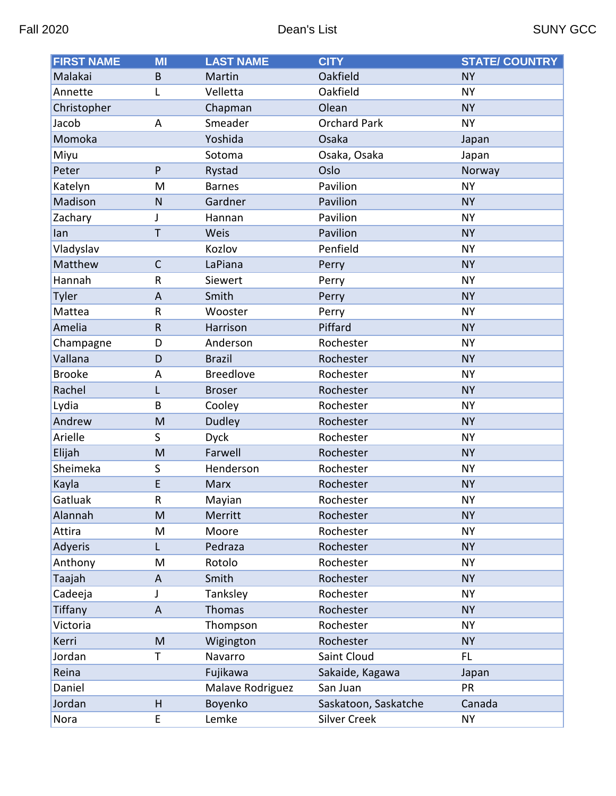| <b>FIRST NAME</b> | MI           | <b>LAST NAME</b> | <b>CITY</b>          | <b>STATE/ COUNTRY</b> |
|-------------------|--------------|------------------|----------------------|-----------------------|
| Malakai           | B            | Martin           | Oakfield             | <b>NY</b>             |
| Annette           | L            | Velletta         | Oakfield             | <b>NY</b>             |
| Christopher       |              | Chapman          | Olean                | <b>NY</b>             |
| Jacob             | A            | Smeader          | <b>Orchard Park</b>  | <b>NY</b>             |
| Momoka            |              | Yoshida          | Osaka                | Japan                 |
| Miyu              |              | Sotoma           | Osaka, Osaka         | Japan                 |
| Peter             | P            | Rystad           | Oslo                 | Norway                |
| Katelyn           | M            | <b>Barnes</b>    | Pavilion             | <b>NY</b>             |
| Madison           | $\mathsf{N}$ | Gardner          | Pavilion             | <b>NY</b>             |
| Zachary           | J            | Hannan           | Pavilion             | <b>NY</b>             |
| lan               | T            | Weis             | Pavilion             | <b>NY</b>             |
| Vladyslav         |              | Kozlov           | Penfield             | <b>NY</b>             |
| Matthew           | $\mathsf{C}$ | LaPiana          | Perry                | <b>NY</b>             |
| Hannah            | R            | Siewert          | Perry                | <b>NY</b>             |
| Tyler             | A            | Smith            | Perry                | <b>NY</b>             |
| Mattea            | R            | Wooster          | Perry                | <b>NY</b>             |
| Amelia            | $\mathsf{R}$ | Harrison         | Piffard              | <b>NY</b>             |
| Champagne         | D            | Anderson         | Rochester            | <b>NY</b>             |
| Vallana           | D            | <b>Brazil</b>    | Rochester            | <b>NY</b>             |
| <b>Brooke</b>     | A            | <b>Breedlove</b> | Rochester            | <b>NY</b>             |
| Rachel            | L            | <b>Broser</b>    | Rochester            | <b>NY</b>             |
| Lydia             | B            | Cooley           | Rochester            | <b>NY</b>             |
| Andrew            | M            | Dudley           | Rochester            | <b>NY</b>             |
| Arielle           | S            | <b>Dyck</b>      | Rochester            | <b>NY</b>             |
| Elijah            | M            | Farwell          | Rochester            | <b>NY</b>             |
| Sheimeka          | S            | Henderson        | Rochester            | <b>NY</b>             |
| Kayla             | E            | <b>Marx</b>      | Rochester            | <b>NY</b>             |
| Gatluak           | R            | Mayian           | Rochester            | <b>NY</b>             |
| Alannah           | M            | Merritt          | Rochester            | <b>NY</b>             |
| Attira            | M            | Moore            | Rochester            | <b>NY</b>             |
| Adyeris           | L.           | Pedraza          | Rochester            | <b>NY</b>             |
| Anthony           | M            | Rotolo           | Rochester            | <b>NY</b>             |
| Taajah            | A            | Smith            | Rochester            | <b>NY</b>             |
| Cadeeja           | J            | Tanksley         | Rochester            | <b>NY</b>             |
| Tiffany           | A            | Thomas           | Rochester            | <b>NY</b>             |
| Victoria          |              | Thompson         | Rochester            | <b>NY</b>             |
| Kerri             | M            | Wigington        | Rochester            | <b>NY</b>             |
| Jordan            | T            | Navarro          | Saint Cloud          | FL.                   |
| Reina             |              | Fujikawa         | Sakaide, Kagawa      | Japan                 |
| Daniel            |              | Malave Rodriguez | San Juan             | <b>PR</b>             |
| Jordan            | H            | Boyenko          | Saskatoon, Saskatche | Canada                |
| Nora              | E            | Lemke            | <b>Silver Creek</b>  | <b>NY</b>             |